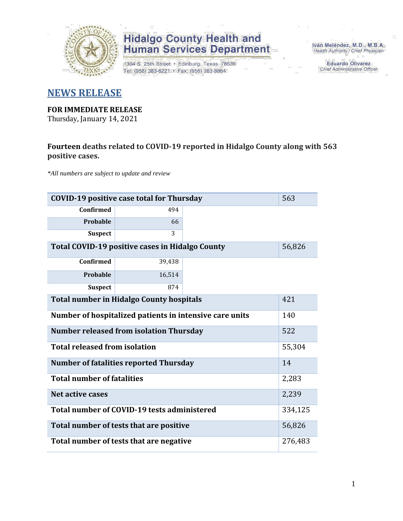

1304 S. 25th Street · Edinburg, Texas 78539 Tel: (956) 383-6221 · Fax: (956) 383-8864

Iván Meléndez, M.D., M.B.A. Health Authority / Chief Physician

> **Eduardo Olivarez** Chief Administrative Officer

#### **NEWS RELEASE**

#### **FOR IMMEDIATE RELEASE**

Thursday, January 14, 2021

#### **Fourteen deaths related to COVID-19 reported in Hidalgo County along with 563 positive cases.**

*\*All numbers are subject to update and review*

| <b>COVID-19 positive case total for Thursday</b><br>563          |                                                   |  |         |  |  |  |  |  |  |
|------------------------------------------------------------------|---------------------------------------------------|--|---------|--|--|--|--|--|--|
| <b>Confirmed</b>                                                 | 494                                               |  |         |  |  |  |  |  |  |
| Probable                                                         | 66                                                |  |         |  |  |  |  |  |  |
| <b>Suspect</b>                                                   | 3                                                 |  |         |  |  |  |  |  |  |
| <b>Total COVID-19 positive cases in Hidalgo County</b><br>56,826 |                                                   |  |         |  |  |  |  |  |  |
| <b>Confirmed</b>                                                 |                                                   |  |         |  |  |  |  |  |  |
| Probable                                                         | 16,514                                            |  |         |  |  |  |  |  |  |
| <b>Suspect</b>                                                   | 874                                               |  |         |  |  |  |  |  |  |
| <b>Total number in Hidalgo County hospitals</b>                  |                                                   |  |         |  |  |  |  |  |  |
| Number of hospitalized patients in intensive care units          |                                                   |  |         |  |  |  |  |  |  |
|                                                                  | <b>Number released from isolation Thursday</b>    |  | 522     |  |  |  |  |  |  |
| <b>Total released from isolation</b>                             |                                                   |  | 55,304  |  |  |  |  |  |  |
|                                                                  | <b>Number of fatalities reported Thursday</b>     |  | 14      |  |  |  |  |  |  |
| <b>Total number of fatalities</b>                                |                                                   |  | 2,283   |  |  |  |  |  |  |
| Net active cases                                                 |                                                   |  | 2,239   |  |  |  |  |  |  |
|                                                                  | Total number of COVID-19 tests administered       |  | 334,125 |  |  |  |  |  |  |
|                                                                  | 56,826<br>Total number of tests that are positive |  |         |  |  |  |  |  |  |
| Total number of tests that are negative                          |                                                   |  |         |  |  |  |  |  |  |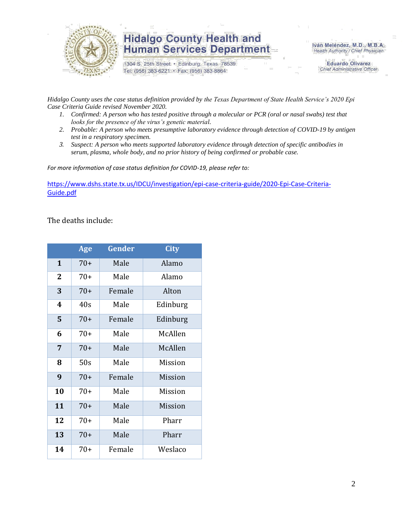

1304 S. 25th Street · Edinburg, Texas 78539 Tel: (956) 383-6221 · Fax: (956) 383-8864

Iván Meléndez, M.D., M.B.A. Health Authority / Chief Physician

> **Eduardo Olivarez** Chief Administrative Officer

*Hidalgo County uses the case status definition provided by the Texas Department of State Health Service's 2020 Epi Case Criteria Guide revised November 2020.*

- *1. Confirmed: A person who has tested positive through a molecular or PCR (oral or nasal swabs) test that looks for the presence of the virus's genetic material.*
- *2. Probable: A person who meets presumptive laboratory evidence through detection of COVID-19 by antigen test in a respiratory specimen.*
- *3. Suspect: A person who meets supported laboratory evidence through detection of specific antibodies in serum, plasma, whole body, and no prior history of being confirmed or probable case.*

*For more information of case status definition for COVID-19, please refer to:*

[https://www.dshs.state.tx.us/IDCU/investigation/epi-case-criteria-guide/2020-Epi-Case-Criteria-](https://www.dshs.state.tx.us/IDCU/investigation/epi-case-criteria-guide/2020-Epi-Case-Criteria-Guide.pdf)[Guide.pdf](https://www.dshs.state.tx.us/IDCU/investigation/epi-case-criteria-guide/2020-Epi-Case-Criteria-Guide.pdf)

The deaths include:

|                | <b>Age</b> | Gender | <b>City</b> |
|----------------|------------|--------|-------------|
| $\mathbf{1}$   | $70+$      | Male   | Alamo       |
| $\overline{2}$ | $70+$      | Male   | Alamo       |
| 3              | $70+$      | Female | Alton       |
| 4              | 40s        | Male   | Edinburg    |
| 5              | $70+$      | Female | Edinburg    |
| 6              | $70+$      | Male   | McAllen     |
| 7              | $70+$      | Male   | McAllen     |
| 8              | 50s        | Male   | Mission     |
| 9              | $70+$      | Female | Mission     |
| 10             | 70+        | Male   | Mission     |
| 11             | $70+$      | Male   | Mission     |
| 12             | 70+        | Male   | Pharr       |
| 13             | $70+$      | Male   | Pharr       |
| 14             | $70+$      | Female | Weslaco     |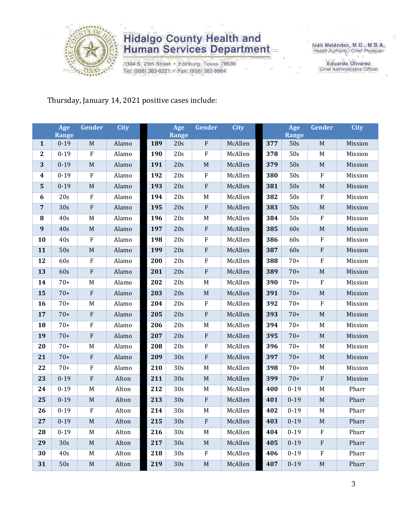

1304 S. 25th Street · Edinburg, Texas 78539 Tel: (956) 383-6221 · Fax: (956) 383-8864

Iván Meléndez, M.D., M.B.A.<br>Health Authority / Chief Physician

**Eduardo Olivarez** Chief Administrative Officer

Thursday, January 14, 2021 positive cases include:

|                  | Age<br><b>Range</b> | Gender                    | <b>City</b> |     | Age<br><b>Range</b> | Gender                    | <b>City</b> |     | Age<br>Range | Gender           | <b>City</b> |
|------------------|---------------------|---------------------------|-------------|-----|---------------------|---------------------------|-------------|-----|--------------|------------------|-------------|
| $\mathbf{1}$     | $0 - 19$            | $\mathbf M$               | Alamo       | 189 | 20s                 | $\boldsymbol{\mathrm{F}}$ | McAllen     | 377 | 50s          | M                | Mission     |
| $\boldsymbol{2}$ | $0 - 19$            | ${\bf F}$                 | Alamo       | 190 | 20s                 | F                         | McAllen     | 378 | 50s          | M                | Mission     |
| 3                | $0 - 19$            | $\mathbf M$               | Alamo       | 191 | 20s                 | $\mathbf M$               | McAllen     | 379 | 50s          | M                | Mission     |
| 4                | $0 - 19$            | $\rm F$                   | Alamo       | 192 | 20s                 | $\rm F$                   | McAllen     | 380 | 50s          | $\rm F$          | Mission     |
| $\mathbf 5$      | $0 - 19$            | $\mathbf M$               | Alamo       | 193 | 20s                 | ${\bf F}$                 | McAllen     | 381 | 50s          | $\mathbf M$      | Mission     |
| 6                | 20s                 | $\boldsymbol{\mathrm{F}}$ | Alamo       | 194 | 20s                 | $\mathbf M$               | McAllen     | 382 | 50s          | $\rm F$          | Mission     |
| $\sqrt{7}$       | 30s                 | ${\bf F}$                 | Alamo       | 195 | 20s                 | ${\bf F}$                 | McAllen     | 383 | 50s          | $\mathbf M$      | Mission     |
| 8                | 40s                 | M                         | Alamo       | 196 | 20s                 | M                         | McAllen     | 384 | 50s          | $\rm F$          | Mission     |
| $\boldsymbol{9}$ | 40s                 | M                         | Alamo       | 197 | 20s                 | ${\bf F}$                 | McAllen     | 385 | 60s          | $\mathbf M$      | Mission     |
| 10               | 40s                 | $\boldsymbol{\mathrm{F}}$ | Alamo       | 198 | 20s                 | $\rm F$                   | McAllen     | 386 | 60s          | $\rm F$          | Mission     |
| 11               | 50s                 | $\mathbf M$               | Alamo       | 199 | 20s                 | ${\bf F}$                 | McAllen     | 387 | 60s          | ${\bf F}$        | Mission     |
| 12               | 60s                 | $\boldsymbol{\mathrm{F}}$ | Alamo       | 200 | 20s                 | ${\bf F}$                 | McAllen     | 388 | $70+$        | $\boldsymbol{F}$ | Mission     |
| 13               | 60s                 | ${\bf F}$                 | Alamo       | 201 | 20s                 | ${\bf F}$                 | McAllen     | 389 | $70+$        | $\mathbf M$      | Mission     |
| 14               | $70+$               | M                         | Alamo       | 202 | 20s                 | M                         | McAllen     | 390 | $70+$        | $\rm F$          | Mission     |
| 15               | $70+$               | ${\bf F}$                 | Alamo       | 203 | 20s                 | $\mathbf M$               | McAllen     | 391 | $70+$        | M                | Mission     |
| 16               | $70+$               | M                         | Alamo       | 204 | 20s                 | $\rm F$                   | McAllen     | 392 | $70+$        | $\boldsymbol{F}$ | Mission     |
| 17               | $70+$               | $\rm F$                   | Alamo       | 205 | 20s                 | ${\bf F}$                 | McAllen     | 393 | $70+$        | $\mathbf M$      | Mission     |
| 18               | $70+$               | ${\bf F}$                 | Alamo       | 206 | 20s                 | M                         | McAllen     | 394 | $70+$        | M                | Mission     |
| 19               | $70+$               | $\rm F$                   | Alamo       | 207 | 20s                 | $\boldsymbol{\mathrm{F}}$ | McAllen     | 395 | $70+$        | $\mathbf M$      | Mission     |
| 20               | $70+$               | M                         | Alamo       | 208 | 20s                 | $\rm F$                   | McAllen     | 396 | $70+$        | M                | Mission     |
| 21               | $70+$               | $\rm F$                   | Alamo       | 209 | 30s                 | ${\bf F}$                 | McAllen     | 397 | $70+$        | $\mathbf M$      | Mission     |
| 22               | $70+$               | ${\bf F}$                 | Alamo       | 210 | 30s                 | $\mathbf M$               | McAllen     | 398 | $70+$        | M                | Mission     |
| 23               | $0 - 19$            | ${\bf F}$                 | Alton       | 211 | 30s                 | $\mathbf M$               | McAllen     | 399 | $70+$        | $\rm F$          | Mission     |
| 24               | $0 - 19$            | M                         | Alton       | 212 | 30s                 | M                         | McAllen     | 400 | $0 - 19$     | M                | Pharr       |
| 25               | $0 - 19$            | M                         | Alton       | 213 | 30s                 | $\boldsymbol{\mathrm{F}}$ | McAllen     | 401 | $0 - 19$     | M                | Pharr       |
| 26               | $0 - 19$            | $\rm F$                   | Alton       | 214 | 30s                 | M                         | McAllen     | 402 | $0 - 19$     | M                | Pharr       |
| 27               | $0 - 19$            | M                         | Alton       | 215 | 30s                 | ${\bf F}$                 | McAllen     | 403 | $0 - 19$     | $M_{\odot}$      | Pharr       |
| 28               | $0 - 19$            | M                         | Alton       | 216 | 30 <sub>s</sub>     | M                         | McAllen     | 404 | $0 - 19$     | $\mathbf{F}$     | Pharr       |
| 29               | 30s                 | $\mathbf M$               | Alton       | 217 | 30s                 | $\mathbf M$               | McAllen     | 405 | $0 - 19$     | $\mathbf{F}$     | Pharr       |
| 30               | 40s                 | M                         | Alton       | 218 | 30s                 | F                         | McAllen     | 406 | $0 - 19$     | F                | Pharr       |
| 31               | 50s                 | $\mathbf M$               | Alton       | 219 | 30s                 | $\mathbf M$               | McAllen     | 407 | $0 - 19$     | $\mathbf M$      | Pharr       |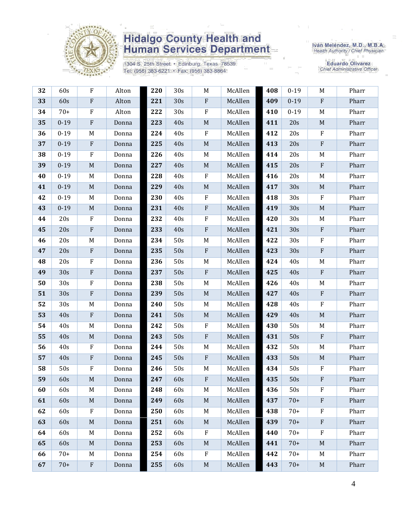

1304 S. 25th Street · Edinburg, Texas 78539 Tel: (956) 383-6221 · Fax: (956) 383-8864

Iván Meléndez, M.D., M.B.A.<br>Health Authority / Chief Physician

| 32 | 60s             | F                         | Alton | 220 | 30 <sub>s</sub> | M           | McAllen | 408 | $0 - 19$ | M                         | Pharr |
|----|-----------------|---------------------------|-------|-----|-----------------|-------------|---------|-----|----------|---------------------------|-------|
| 33 | 60s             | $\boldsymbol{\mathrm{F}}$ | Alton | 221 | 30s             | ${\bf F}$   | McAllen | 409 | $0 - 19$ | $\rm F$                   | Pharr |
| 34 | $70+$           | $\mathbf F$               | Alton | 222 | 30s             | $\rm F$     | McAllen | 410 | $0 - 19$ | M                         | Pharr |
| 35 | $0 - 19$        | ${\bf F}$                 | Donna | 223 | 40s             | $\mathbf M$ | McAllen | 411 | 20s      | $\mathbf M$               | Pharr |
| 36 | $0 - 19$        | M                         | Donna | 224 | 40s             | ${\bf F}$   | McAllen | 412 | 20s      | $\mathbf{F}$              | Pharr |
| 37 | $0 - 19$        | $\boldsymbol{\mathrm{F}}$ | Donna | 225 | 40s             | $\mathbf M$ | McAllen | 413 | 20s      | $\rm F$                   | Pharr |
| 38 | $0 - 19$        | ${\bf F}$                 | Donna | 226 | 40s             | M           | McAllen | 414 | 20s      | M                         | Pharr |
| 39 | $0 - 19$        | $\mathbf M$               | Donna | 227 | 40s             | $\mathbf M$ | McAllen | 415 | 20s      | $\rm F$                   | Pharr |
| 40 | $0 - 19$        | M                         | Donna | 228 | 40s             | ${\bf F}$   | McAllen | 416 | 20s      | M                         | Pharr |
| 41 | $0 - 19$        | $\mathbf M$               | Donna | 229 | 40s             | $\mathbf M$ | McAllen | 417 | 30s      | $\mathbf M$               | Pharr |
| 42 | $0 - 19$        | M                         | Donna | 230 | 40s             | F           | McAllen | 418 | 30s      | $\rm F$                   | Pharr |
| 43 | $0 - 19$        | $\mathbf M$               | Donna | 231 | 40s             | ${\bf F}$   | McAllen | 419 | 30s      | $\mathbf M$               | Pharr |
| 44 | 20s             | $\mathbf F$               | Donna | 232 | 40s             | F           | McAllen | 420 | 30s      | M                         | Pharr |
| 45 | 20s             | $\boldsymbol{\mathrm{F}}$ | Donna | 233 | 40s             | ${\bf F}$   | McAllen | 421 | 30s      | $\mathbf{F}$              | Pharr |
| 46 | 20s             | M                         | Donna | 234 | 50s             | $\mathbf M$ | McAllen | 422 | 30s      | $\rm F$                   | Pharr |
| 47 | 20s             | $\boldsymbol{\mathrm{F}}$ | Donna | 235 | 50s             | ${\bf F}$   | McAllen | 423 | 30s      | $\mathbf{F}$              | Pharr |
| 48 | 20s             | $\mathbf F$               | Donna | 236 | 50s             | M           | McAllen | 424 | 40s      | M                         | Pharr |
| 49 | 30s             | ${\bf F}$                 | Donna | 237 | 50s             | ${\bf F}$   | McAllen | 425 | 40s      | $\rm F$                   | Pharr |
| 50 | 30s             | ${\bf F}$                 | Donna | 238 | 50s             | $M_{\odot}$ | McAllen | 426 | 40s      | M                         | Pharr |
| 51 | 30s             | $\boldsymbol{\mathrm{F}}$ | Donna | 239 | 50s             | $\mathbf M$ | McAllen | 427 | 40s      | $\mathbf{F}$              | Pharr |
| 52 | 30 <sub>s</sub> | M                         | Donna | 240 | 50s             | M           | McAllen | 428 | 40s      | $\rm F$                   | Pharr |
| 53 | 40s             | $\boldsymbol{\mathrm{F}}$ | Donna | 241 | 50s             | $\mathbf M$ | McAllen | 429 | 40s      | $\mathbf M$               | Pharr |
| 54 | 40s             | M                         | Donna | 242 | 50s             | $\rm F$     | McAllen | 430 | 50s      | M                         | Pharr |
| 55 | 40s             | M                         | Donna | 243 | 50s             | ${\bf F}$   | McAllen | 431 | 50s      | $\boldsymbol{\mathrm{F}}$ | Pharr |
| 56 | 40s             | $\rm F$                   | Donna | 244 | 50s             | M           | McAllen | 432 | 50s      | M                         | Pharr |
| 57 | 40s             | ${\bf F}$                 | Donna | 245 | 50s             | ${\bf F}$   | McAllen | 433 | 50s      | $\mathbf M$               | Pharr |
| 58 | 50s             | F                         | Donna | 246 | 50s             | M           | McAllen | 434 | 50s      | $\rm F$                   | Pharr |
| 59 | 60s             | $\mathbf M$               | Donna | 247 | 60s             | $\rm F$     | McAllen | 435 | 50s      | ${\bf F}$                 | Pharr |
| 60 | 60s             | M                         | Donna | 248 | 60s             | M           | McAllen | 436 | 50s      | F                         | Pharr |
| 61 | 60s             | M                         | Donna | 249 | 60s             | $\mathbf M$ | McAllen | 437 | $70+$    | $\mathbf{F}$              | Pharr |
| 62 | 60s             | F                         | Donna | 250 | 60s             | M           | McAllen | 438 | $70+$    | $\mathbf{F}$              | Pharr |
| 63 | 60s             | M                         | Donna | 251 | 60s             | $M_{\odot}$ | McAllen | 439 | $70+$    | $\mathbf{F}$              | Pharr |
| 64 | 60s             | M                         | Donna | 252 | 60s             | ${\bf F}$   | McAllen | 440 | $70+$    | $\rm F$                   | Pharr |
| 65 | 60s             | M                         | Donna | 253 | 60s             | $\mathbf M$ | McAllen | 441 | $70+$    | $\mathbf M$               | Pharr |
| 66 | $70+$           | M                         | Donna | 254 | 60s             | $\rm F$     | McAllen | 442 | $70+$    | M                         | Pharr |
| 67 | $70+$           | ${\bf F}$                 | Donna | 255 | 60s             | $\mathbf M$ | McAllen | 443 | $70+$    | $\mathbf M$               | Pharr |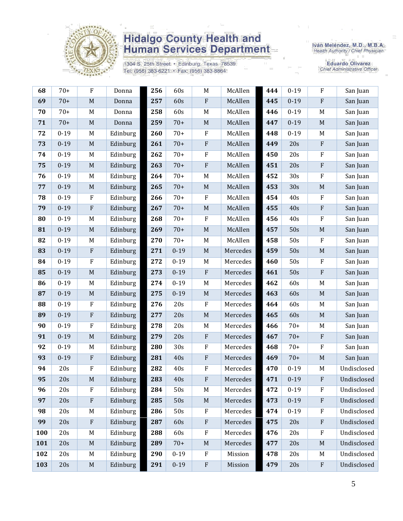

1304 S. 25th Street · Edinburg, Texas 78539 Tel: (956) 383-6221 · Fax: (956) 383-8864

Iván Meléndez, M.D., M.B.A.<br>Health Authority / Chief Physician

| 68  | $70+$    | $\rm F$     | Donna    | 256 | 60s      | $\mathbf M$ | McAllen  | 444 | $0 - 19$ | F           | San Juan    |
|-----|----------|-------------|----------|-----|----------|-------------|----------|-----|----------|-------------|-------------|
| 69  | $70+$    | $\mathbf M$ | Donna    | 257 | 60s      | ${\bf F}$   | McAllen  | 445 | $0 - 19$ | $\rm F$     | San Juan    |
| 70  | $70+$    | M           | Donna    | 258 | 60s      | $M_{\odot}$ | McAllen  | 446 | $0 - 19$ | M           | San Juan    |
| 71  | $70+$    | $\mathbf M$ | Donna    | 259 | $70+$    | $\mathbf M$ | McAllen  | 447 | $0 - 19$ | $\mathbf M$ | San Juan    |
| 72  | $0 - 19$ | M           | Edinburg | 260 | $70+$    | $\rm F$     | McAllen  | 448 | $0 - 19$ | M           | San Juan    |
| 73  | $0 - 19$ | $\mathbf M$ | Edinburg | 261 | $70+$    | ${\bf F}$   | McAllen  | 449 | 20s      | ${\bf F}$   | San Juan    |
| 74  | $0 - 19$ | M           | Edinburg | 262 | $70+$    | $\rm F$     | McAllen  | 450 | 20s      | F           | San Juan    |
| 75  | $0 - 19$ | $\mathbf M$ | Edinburg | 263 | $70+$    | $\rm F$     | McAllen  | 451 | 20s      | ${\bf F}$   | San Juan    |
| 76  | $0 - 19$ | M           | Edinburg | 264 | $70+$    | $\mathbf M$ | McAllen  | 452 | 30s      | $\rm F$     | San Juan    |
| 77  | $0 - 19$ | $\mathbf M$ | Edinburg | 265 | $70+$    | $\mathbf M$ | McAllen  | 453 | 30s      | $\mathbf M$ | San Juan    |
| 78  | $0 - 19$ | $\rm F$     | Edinburg | 266 | $70+$    | $\rm F$     | McAllen  | 454 | 40s      | $\rm F$     | San Juan    |
| 79  | $0 - 19$ | ${\bf F}$   | Edinburg | 267 | $70+$    | $\mathbf M$ | McAllen  | 455 | 40s      | $\rm F$     | San Juan    |
| 80  | $0 - 19$ | M           | Edinburg | 268 | $70+$    | $\mathbf F$ | McAllen  | 456 | 40s      | ${\bf F}$   | San Juan    |
| 81  | $0 - 19$ | $\mathbf M$ | Edinburg | 269 | $70+$    | $\mathbf M$ | McAllen  | 457 | 50s      | $\mathbf M$ | San Juan    |
| 82  | $0 - 19$ | M           | Edinburg | 270 | $70+$    | M           | McAllen  | 458 | 50s      | $\rm F$     | San Juan    |
| 83  | $0 - 19$ | ${\bf F}$   | Edinburg | 271 | $0 - 19$ | $\mathbf M$ | Mercedes | 459 | 50s      | $\mathbf M$ | San Juan    |
| 84  | $0 - 19$ | $\rm F$     | Edinburg | 272 | $0 - 19$ | $\mathbf M$ | Mercedes | 460 | 50s      | F           | San Juan    |
| 85  | $0 - 19$ | $\mathbf M$ | Edinburg | 273 | $0 - 19$ | $\rm F$     | Mercedes | 461 | 50s      | ${\bf F}$   | San Juan    |
| 86  | $0 - 19$ | M           | Edinburg | 274 | $0 - 19$ | $\mathbf M$ | Mercedes | 462 | 60s      | $\mathbf M$ | San Juan    |
| 87  | $0 - 19$ | $\mathbf M$ | Edinburg | 275 | $0 - 19$ | $\mathbf M$ | Mercedes | 463 | 60s      | $\mathbf M$ | San Juan    |
| 88  | $0 - 19$ | $\rm F$     | Edinburg | 276 | 20s      | $\rm F$     | Mercedes | 464 | 60s      | M           | San Juan    |
| 89  | $0 - 19$ | ${\bf F}$   | Edinburg | 277 | 20s      | $\mathbf M$ | Mercedes | 465 | 60s      | $\mathbf M$ | San Juan    |
| 90  | $0 - 19$ | $\rm F$     | Edinburg | 278 | 20s      | M           | Mercedes | 466 | $70+$    | $\mathbf M$ | San Juan    |
| 91  | $0 - 19$ | $\mathbf M$ | Edinburg | 279 | 20s      | $\rm F$     | Mercedes | 467 | $70+$    | $\rm F$     | San Juan    |
| 92  | $0 - 19$ | M           | Edinburg | 280 | 30s      | $\rm F$     | Mercedes | 468 | $70+$    | ${\bf F}$   | San Juan    |
| 93  | $0 - 19$ | ${\bf F}$   | Edinburg | 281 | 40s      | ${\bf F}$   | Mercedes | 469 | $70+$    | $\mathbf M$ | San Juan    |
| 94  | 20s      | $\rm F$     | Edinburg | 282 | 40s      | ${\bf F}$   | Mercedes | 470 | $0 - 19$ | M           | Undisclosed |
| 95  | 20s      | $\mathbf M$ | Edinburg | 283 | 40s      | ${\bf F}$   | Mercedes | 471 | $0 - 19$ | ${\bf F}$   | Undisclosed |
| 96  | 20s      | F           | Edinburg | 284 | 50s      | $M_{\odot}$ | Mercedes | 472 | $0 - 19$ | F           | Undisclosed |
| 97  | 20s      | $\rm F$     | Edinburg | 285 | 50s      | $\mathbf M$ | Mercedes | 473 | $0 - 19$ | ${\bf F}$   | Undisclosed |
| 98  | 20s      | M           | Edinburg | 286 | 50s      | $\mathbf F$ | Mercedes | 474 | $0 - 19$ | F           | Undisclosed |
| 99  | 20s      | ${\bf F}$   | Edinburg | 287 | 60s      | $\rm F$     | Mercedes | 475 | 20s      | ${\bf F}$   | Undisclosed |
| 100 | 20s      | M           | Edinburg | 288 | 60s      | $\rm F$     | Mercedes | 476 | 20s      | $\rm F$     | Undisclosed |
| 101 | 20s      | $\mathbf M$ | Edinburg | 289 | $70+$    | $\mathbf M$ | Mercedes | 477 | 20s      | $\mathbf M$ | Undisclosed |
| 102 | 20s      | M           | Edinburg | 290 | $0 - 19$ | $\rm F$     | Mission  | 478 | 20s      | M           | Undisclosed |
| 103 | 20s      | $\mathbf M$ | Edinburg | 291 | $0 - 19$ | $\rm F$     | Mission  | 479 | 20s      | ${\bf F}$   | Undisclosed |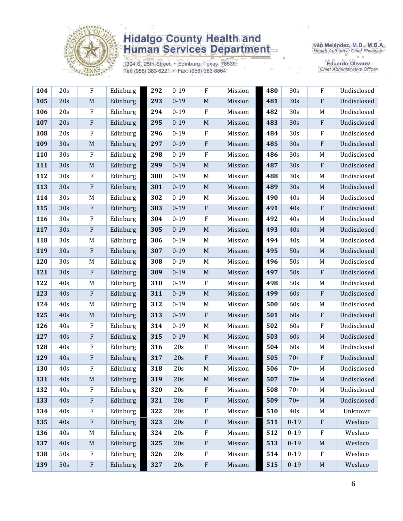

1304 S. 25th Street · Edinburg, Texas 78539 Tel: (956) 383-6221 · Fax: (956) 383-8864

Iván Meléndez, M.D., M.B.A.<br>Health Authority / Chief Physician

| 104 | 20s | ${\bf F}$                 | Edinburg | 292 | $0 - 19$ | $\rm F$                   | Mission | 480 | 30s      | $\rm F$     | Undisclosed |
|-----|-----|---------------------------|----------|-----|----------|---------------------------|---------|-----|----------|-------------|-------------|
| 105 | 20s | $\mathbf M$               | Edinburg | 293 | $0 - 19$ | $\mathbf M$               | Mission | 481 | 30s      | ${\bf F}$   | Undisclosed |
| 106 | 20s | ${\bf F}$                 | Edinburg | 294 | $0 - 19$ | $\boldsymbol{F}$          | Mission | 482 | 30s      | M           | Undisclosed |
| 107 | 20s | ${\bf F}$                 | Edinburg | 295 | $0 - 19$ | $\mathbf M$               | Mission | 483 | 30s      | $\rm F$     | Undisclosed |
| 108 | 20s | $\rm F$                   | Edinburg | 296 | $0 - 19$ | ${\bf F}$                 | Mission | 484 | 30s      | $\rm F$     | Undisclosed |
| 109 | 30s | $\mathbf M$               | Edinburg | 297 | $0 - 19$ | $\rm F$                   | Mission | 485 | 30s      | ${\bf F}$   | Undisclosed |
| 110 | 30s | $\rm F$                   | Edinburg | 298 | $0 - 19$ | $\rm F$                   | Mission | 486 | 30s      | M           | Undisclosed |
| 111 | 30s | $\mathbf M$               | Edinburg | 299 | $0 - 19$ | $\mathbf M$               | Mission | 487 | 30s      | ${\bf F}$   | Undisclosed |
| 112 | 30s | ${\bf F}$                 | Edinburg | 300 | $0 - 19$ | M                         | Mission | 488 | 30s      | M           | Undisclosed |
| 113 | 30s | ${\bf F}$                 | Edinburg | 301 | $0 - 19$ | $\mathbf M$               | Mission | 489 | 30s      | M           | Undisclosed |
| 114 | 30s | M                         | Edinburg | 302 | $0 - 19$ | $\mathbf M$               | Mission | 490 | 40s      | M           | Undisclosed |
| 115 | 30s | ${\bf F}$                 | Edinburg | 303 | $0 - 19$ | $\rm F$                   | Mission | 491 | 40s      | ${\bf F}$   | Undisclosed |
| 116 | 30s | F                         | Edinburg | 304 | $0 - 19$ | $\boldsymbol{F}$          | Mission | 492 | 40s      | M           | Undisclosed |
| 117 | 30s | ${\bf F}$                 | Edinburg | 305 | $0 - 19$ | $\mathbf M$               | Mission | 493 | 40s      | $\mathbf M$ | Undisclosed |
| 118 | 30s | M                         | Edinburg | 306 | $0 - 19$ | M                         | Mission | 494 | 40s      | $M_{\odot}$ | Undisclosed |
| 119 | 30s | ${\bf F}$                 | Edinburg | 307 | $0 - 19$ | $\mathbf M$               | Mission | 495 | 50s      | $\mathbf M$ | Undisclosed |
| 120 | 30s | M                         | Edinburg | 308 | $0 - 19$ | M                         | Mission | 496 | 50s      | M           | Undisclosed |
| 121 | 30s | $\boldsymbol{\mathrm{F}}$ | Edinburg | 309 | $0 - 19$ | $\mathbf M$               | Mission | 497 | 50s      | ${\bf F}$   | Undisclosed |
| 122 | 40s | M                         | Edinburg | 310 | $0 - 19$ | ${\bf F}$                 | Mission | 498 | 50s      | M           | Undisclosed |
| 123 | 40s | ${\bf F}$                 | Edinburg | 311 | $0 - 19$ | $\mathbf M$               | Mission | 499 | 60s      | ${\bf F}$   | Undisclosed |
| 124 | 40s | $\mathbf M$               | Edinburg | 312 | $0 - 19$ | M                         | Mission | 500 | 60s      | M           | Undisclosed |
| 125 | 40s | $\mathbf M$               | Edinburg | 313 | $0 - 19$ | $\, {\bf F}$              | Mission | 501 | 60s      | ${\bf F}$   | Undisclosed |
| 126 | 40s | ${\bf F}$                 | Edinburg | 314 | $0 - 19$ | $M_{\rm}$                 | Mission | 502 | 60s      | $\rm F$     | Undisclosed |
| 127 | 40s | $\rm F$                   | Edinburg | 315 | $0 - 19$ | $\mathbf M$               | Mission | 503 | 60s      | M           | Undisclosed |
| 128 | 40s | ${\bf F}$                 | Edinburg | 316 | 20s      | $\rm F$                   | Mission | 504 | 60s      | $M_{\odot}$ | Undisclosed |
| 129 | 40s | ${\bf F}$                 | Edinburg | 317 | 20s      | ${\bf F}$                 | Mission | 505 | $70+$    | ${\bf F}$   | Undisclosed |
| 130 | 40s | F                         | Edinburg | 318 | 20s      | M                         | Mission | 506 | $70+$    | M           | Undisclosed |
| 131 | 40s | $\mathbf M$               | Edinburg | 319 | 20s      | $\mathbf M$               | Mission | 507 | $70+$    | M           | Undisclosed |
| 132 | 40s | ${\bf F}$                 | Edinburg | 320 | 20s      | $\rm F$                   | Mission | 508 | $70+$    | M           | Undisclosed |
| 133 | 40s | $\boldsymbol{\mathrm{F}}$ | Edinburg | 321 | 20s      | $\rm F$                   | Mission | 509 | $70+$    | M           | Undisclosed |
| 134 | 40s | $\rm F$                   | Edinburg | 322 | 20s      | $\rm F$                   | Mission | 510 | 40s      | M           | Unknown     |
| 135 | 40s | ${\bf F}$                 | Edinburg | 323 | 20s      | $\rm F$                   | Mission | 511 | $0 - 19$ | ${\bf F}$   | Weslaco     |
| 136 | 40s | $\mathbf M$               | Edinburg | 324 | 20s      | ${\bf F}$                 | Mission | 512 | $0 - 19$ | $\rm F$     | Weslaco     |
| 137 | 40s | $\mathbf M$               | Edinburg | 325 | 20s      | $\boldsymbol{\mathrm{F}}$ | Mission | 513 | $0 - 19$ | $\mathbf M$ | Weslaco     |
| 138 | 50s | $\mathbf{F}$              | Edinburg | 326 | 20s      | $\rm F$                   | Mission | 514 | $0 - 19$ | $\rm F$     | Weslaco     |
| 139 | 50s | ${\bf F}$                 | Edinburg | 327 | 20s      | ${\bf F}$                 | Mission | 515 | $0 - 19$ | $\mathbf M$ | Weslaco     |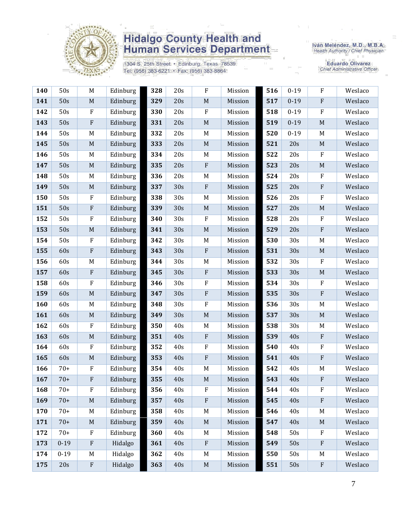

1304 S. 25th Street · Edinburg, Texas 78539 Tel: (956) 383-6221 · Fax: (956) 383-8864

Iván Meléndez, M.D., M.B.A.<br>Health Authority / Chief Physician

| 140 | 50s      | M           | Edinburg | 328 | 20s | $\rm F$     | Mission | 516 | $0 - 19$ | $\rm F$      | Weslaco |
|-----|----------|-------------|----------|-----|-----|-------------|---------|-----|----------|--------------|---------|
| 141 | 50s      | $\mathbf M$ | Edinburg | 329 | 20s | $\mathbf M$ | Mission | 517 | $0 - 19$ | $\rm F$      | Weslaco |
| 142 | 50s      | $\rm F$     | Edinburg | 330 | 20s | $\rm F$     | Mission | 518 | $0 - 19$ | $\rm F$      | Weslaco |
| 143 | 50s      | ${\bf F}$   | Edinburg | 331 | 20s | $\mathbf M$ | Mission | 519 | $0 - 19$ | $\mathbf M$  | Weslaco |
| 144 | 50s      | M           | Edinburg | 332 | 20s | M           | Mission | 520 | $0 - 19$ | M            | Weslaco |
| 145 | 50s      | M           | Edinburg | 333 | 20s | $\mathbf M$ | Mission | 521 | 20s      | $\mathbf M$  | Weslaco |
| 146 | 50s      | M           | Edinburg | 334 | 20s | M           | Mission | 522 | 20s      | $\rm F$      | Weslaco |
| 147 | 50s      | $\mathbf M$ | Edinburg | 335 | 20s | ${\bf F}$   | Mission | 523 | 20s      | $\mathbf M$  | Weslaco |
| 148 | 50s      | M           | Edinburg | 336 | 20s | M           | Mission | 524 | 20s      | ${\bf F}$    | Weslaco |
| 149 | 50s      | $\mathbf M$ | Edinburg | 337 | 30s | $\rm F$     | Mission | 525 | 20s      | $\rm F$      | Weslaco |
| 150 | 50s      | $\rm F$     | Edinburg | 338 | 30s | $\mathbf M$ | Mission | 526 | 20s      | $\rm F$      | Weslaco |
| 151 | 50s      | $\rm F$     | Edinburg | 339 | 30s | $\mathbf M$ | Mission | 527 | 20s      | $\mathbf M$  | Weslaco |
| 152 | 50s      | $\rm F$     | Edinburg | 340 | 30s | $\rm F$     | Mission | 528 | 20s      | $\mathbf F$  | Weslaco |
| 153 | 50s      | $\mathbf M$ | Edinburg | 341 | 30s | $\mathbf M$ | Mission | 529 | 20s      | $\rm F$      | Weslaco |
| 154 | 50s      | $\rm F$     | Edinburg | 342 | 30s | M           | Mission | 530 | 30s      | M            | Weslaco |
| 155 | 60s      | ${\bf F}$   | Edinburg | 343 | 30s | ${\bf F}$   | Mission | 531 | 30s      | $\mathbf M$  | Weslaco |
| 156 | 60s      | M           | Edinburg | 344 | 30s | M           | Mission | 532 | 30s      | $\rm F$      | Weslaco |
| 157 | 60s      | ${\bf F}$   | Edinburg | 345 | 30s | $\rm F$     | Mission | 533 | 30s      | $\mathbf M$  | Weslaco |
| 158 | 60s      | ${\bf F}$   | Edinburg | 346 | 30s | $\rm F$     | Mission | 534 | 30s      | $\mathbf{F}$ | Weslaco |
| 159 | 60s      | $\mathbf M$ | Edinburg | 347 | 30s | ${\bf F}$   | Mission | 535 | 30s      | $\rm F$      | Weslaco |
| 160 | 60s      | M           | Edinburg | 348 | 30s | ${\bf F}$   | Mission | 536 | 30s      | M            | Weslaco |
| 161 | 60s      | $\mathbf M$ | Edinburg | 349 | 30s | $\mathbf M$ | Mission | 537 | 30s      | $\mathbf M$  | Weslaco |
| 162 | 60s      | $\rm F$     | Edinburg | 350 | 40s | M           | Mission | 538 | 30s      | M            | Weslaco |
| 163 | 60s      | $\mathbf M$ | Edinburg | 351 | 40s | $\rm F$     | Mission | 539 | 40s      | $\rm F$      | Weslaco |
| 164 | 60s      | ${\bf F}$   | Edinburg | 352 | 40s | $\rm F$     | Mission | 540 | 40s      | ${\bf F}$    | Weslaco |
| 165 | 60s      | $\mathbf M$ | Edinburg | 353 | 40s | ${\bf F}$   | Mission | 541 | 40s      | $\rm F$      | Weslaco |
| 166 | $70+$    | F           | Edinburg | 354 | 40s | M           | Mission | 542 | 40s      | M            | Weslaco |
| 167 | $70+$    | ${\bf F}$   | Edinburg | 355 | 40s | $\mathbf M$ | Mission | 543 | 40s      | ${\bf F}$    | Weslaco |
| 168 | $70+$    | ${\bf F}$   | Edinburg | 356 | 40s | $\rm F$     | Mission | 544 | 40s      | F            | Weslaco |
| 169 | $70+$    | M           | Edinburg | 357 | 40s | ${\bf F}$   | Mission | 545 | 40s      | ${\bf F}$    | Weslaco |
| 170 | $70+$    | M           | Edinburg | 358 | 40s | M           | Mission | 546 | 40s      | M            | Weslaco |
| 171 | $70+$    | M           | Edinburg | 359 | 40s | $\mathbf M$ | Mission | 547 | 40s      | $\mathbf M$  | Weslaco |
| 172 | $70+$    | ${\bf F}$   | Edinburg | 360 | 40s | M           | Mission | 548 | 50s      | $\mathbf F$  | Weslaco |
| 173 | $0 - 19$ | ${\bf F}$   | Hidalgo  | 361 | 40s | $\,$ F      | Mission | 549 | 50s      | $\mathbf{F}$ | Weslaco |
| 174 | $0 - 19$ | M           | Hidalgo  | 362 | 40s | M           | Mission | 550 | 50s      | M            | Weslaco |
| 175 | 20s      | ${\bf F}$   | Hidalgo  | 363 | 40s | $\mathbf M$ | Mission | 551 | 50s      | ${\bf F}$    | Weslaco |